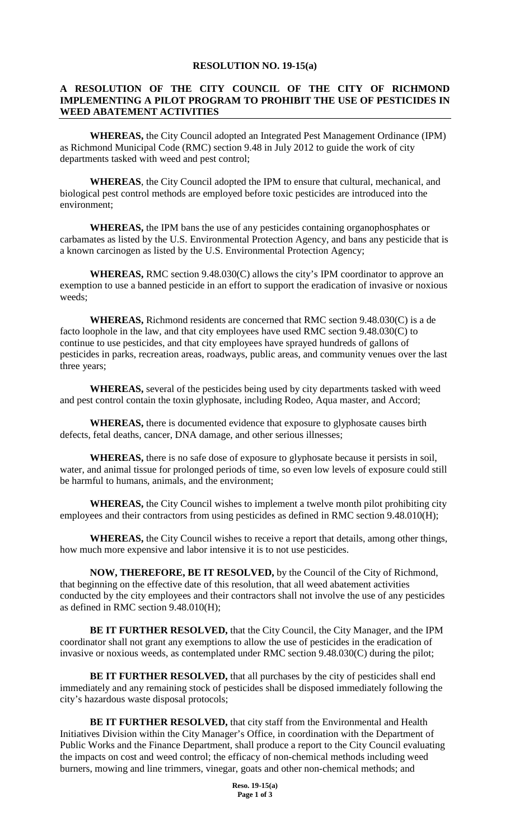## **RESOLUTION NO. 19-15(a)**

## **A RESOLUTION OF THE CITY COUNCIL OF THE CITY OF RICHMOND IMPLEMENTING A PILOT PROGRAM TO PROHIBIT THE USE OF PESTICIDES IN WEED ABATEMENT ACTIVITIES**

**WHEREAS,** the City Council adopted an Integrated Pest Management Ordinance (IPM) as Richmond Municipal Code (RMC) section 9.48 in July 2012 to guide the work of city departments tasked with weed and pest control;

**WHEREAS**, the City Council adopted the IPM to ensure that cultural, mechanical, and biological pest control methods are employed before toxic pesticides are introduced into the environment;

**WHEREAS,** the IPM bans the use of any pesticides containing organophosphates or carbamates as listed by the U.S. Environmental Protection Agency, and bans any pesticide that is a known carcinogen as listed by the U.S. Environmental Protection Agency;

**WHEREAS,** RMC section 9.48.030(C) allows the city's IPM coordinator to approve an exemption to use a banned pesticide in an effort to support the eradication of invasive or noxious weeds;

**WHEREAS,** Richmond residents are concerned that RMC section 9.48.030(C) is a de facto loophole in the law, and that city employees have used RMC section 9.48.030(C) to continue to use pesticides, and that city employees have sprayed hundreds of gallons of pesticides in parks, recreation areas, roadways, public areas, and community venues over the last three years;

**WHEREAS,** several of the pesticides being used by city departments tasked with weed and pest control contain the toxin glyphosate, including Rodeo, Aqua master, and Accord;

**WHEREAS,** there is documented evidence that exposure to glyphosate causes birth defects, fetal deaths, cancer, DNA damage, and other serious illnesses;

**WHEREAS,** there is no safe dose of exposure to glyphosate because it persists in soil, water, and animal tissue for prolonged periods of time, so even low levels of exposure could still be harmful to humans, animals, and the environment;

**WHEREAS,** the City Council wishes to implement a twelve month pilot prohibiting city employees and their contractors from using pesticides as defined in RMC section 9.48.010(H);

**WHEREAS,** the City Council wishes to receive a report that details, among other things, how much more expensive and labor intensive it is to not use pesticides.

**NOW, THEREFORE, BE IT RESOLVED,** by the Council of the City of Richmond, that beginning on the effective date of this resolution, that all weed abatement activities conducted by the city employees and their contractors shall not involve the use of any pesticides as defined in RMC section 9.48.010(H);

**BE IT FURTHER RESOLVED,** that the City Council, the City Manager, and the IPM coordinator shall not grant any exemptions to allow the use of pesticides in the eradication of invasive or noxious weeds, as contemplated under RMC section 9.48.030(C) during the pilot;

**BE IT FURTHER RESOLVED,** that all purchases by the city of pesticides shall end immediately and any remaining stock of pesticides shall be disposed immediately following the city's hazardous waste disposal protocols;

**BE IT FURTHER RESOLVED,** that city staff from the Environmental and Health Initiatives Division within the City Manager's Office, in coordination with the Department of Public Works and the Finance Department, shall produce a report to the City Council evaluating the impacts on cost and weed control; the efficacy of non-chemical methods including weed burners, mowing and line trimmers, vinegar, goats and other non-chemical methods; and

> **Reso. 19-15(a) Page 1 of 3**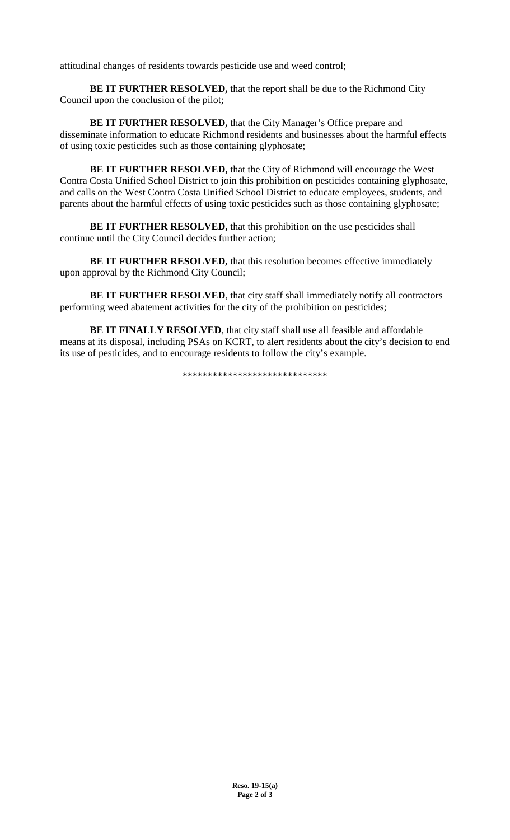attitudinal changes of residents towards pesticide use and weed control;

**BE IT FURTHER RESOLVED,** that the report shall be due to the Richmond City Council upon the conclusion of the pilot;

**BE IT FURTHER RESOLVED, that the City Manager's Office prepare and** disseminate information to educate Richmond residents and businesses about the harmful effects of using toxic pesticides such as those containing glyphosate;

**BE IT FURTHER RESOLVED,** that the City of Richmond will encourage the West Contra Costa Unified School District to join this prohibition on pesticides containing glyphosate, and calls on the West Contra Costa Unified School District to educate employees, students, and parents about the harmful effects of using toxic pesticides such as those containing glyphosate;

**BE IT FURTHER RESOLVED, that this prohibition on the use pesticides shall** continue until the City Council decides further action;

**BE IT FURTHER RESOLVED, that this resolution becomes effective immediately** upon approval by the Richmond City Council;

**BE IT FURTHER RESOLVED**, that city staff shall immediately notify all contractors performing weed abatement activities for the city of the prohibition on pesticides;

**BE IT FINALLY RESOLVED**, that city staff shall use all feasible and affordable means at its disposal, including PSAs on KCRT, to alert residents about the city's decision to end its use of pesticides, and to encourage residents to follow the city's example.

\*\*\*\*\*\*\*\*\*\*\*\*\*\*\*\*\*\*\*\*\*\*\*\*\*\*\*\*\*